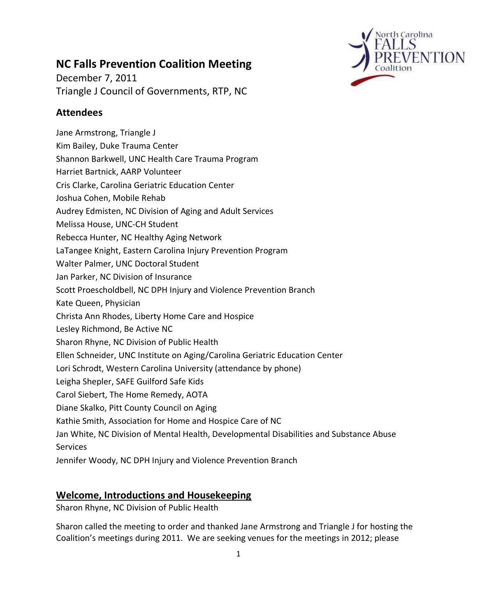

# **NC Falls Prevention Coalition Meeting**

December 7, 2011 Triangle J Council of Governments, RTP, NC

# **Attendees**

Jane Armstrong, Triangle J Kim Bailey, Duke Trauma Center Shannon Barkwell, UNC Health Care Trauma Program Harriet Bartnick, AARP Volunteer Cris Clarke, Carolina Geriatric Education Center Joshua Cohen, Mobile Rehab Audrey Edmisten, NC Division of Aging and Adult Services Melissa House, UNC-CH Student Rebecca Hunter, NC Healthy Aging Network LaTangee Knight, Eastern Carolina Injury Prevention Program Walter Palmer, UNC Doctoral Student Jan Parker, NC Division of Insurance Scott Proescholdbell, NC DPH Injury and Violence Prevention Branch Kate Queen, Physician Christa Ann Rhodes, Liberty Home Care and Hospice Lesley Richmond, Be Active NC Sharon Rhyne, NC Division of Public Health Ellen Schneider, UNC Institute on Aging/Carolina Geriatric Education Center Lori Schrodt, Western Carolina University (attendance by phone) Leigha Shepler, SAFE Guilford Safe Kids Carol Siebert, The Home Remedy, AOTA Diane Skalko, Pitt County Council on Aging Kathie Smith, Association for Home and Hospice Care of NC Jan White, NC Division of Mental Health, Developmental Disabilities and Substance Abuse Services Jennifer Woody, NC DPH Injury and Violence Prevention Branch

### **Welcome, Introductions and Housekeeping**

Sharon Rhyne, NC Division of Public Health

Sharon called the meeting to order and thanked Jane Armstrong and Triangle J for hosting the Coalition's meetings during 2011. We are seeking venues for the meetings in 2012; please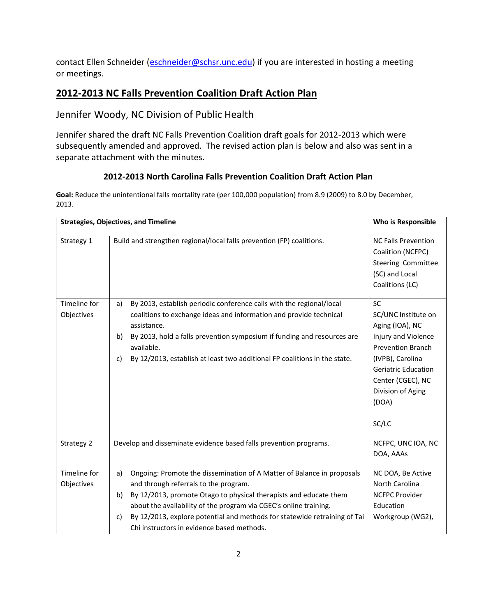contact Ellen Schneider [\(eschneider@schsr.unc.edu\)](mailto:eschneider@schsr.unc.edu) if you are interested in hosting a meeting or meetings.

# **2012-2013 NC Falls Prevention Coalition Draft Action Plan**

Jennifer Woody, NC Division of Public Health

Jennifer shared the draft NC Falls Prevention Coalition draft goals for 2012-2013 which were subsequently amended and approved. The revised action plan is below and also was sent in a separate attachment with the minutes.

#### **2012-2013 North Carolina Falls Prevention Coalition Draft Action Plan**

**Goal:** Reduce the unintentional falls mortality rate (per 100,000 population) from 8.9 (2009) to 8.0 by December, 2013.

| <b>Strategies, Objectives, and Timeline</b> | Who is Responsible                                                                                                                                                                                                                                                                                                                                                                                     |                                                                                                                                                                                                               |
|---------------------------------------------|--------------------------------------------------------------------------------------------------------------------------------------------------------------------------------------------------------------------------------------------------------------------------------------------------------------------------------------------------------------------------------------------------------|---------------------------------------------------------------------------------------------------------------------------------------------------------------------------------------------------------------|
| Strategy 1                                  | Build and strengthen regional/local falls prevention (FP) coalitions.                                                                                                                                                                                                                                                                                                                                  | <b>NC Falls Prevention</b><br>Coalition (NCFPC)<br><b>Steering Committee</b><br>(SC) and Local<br>Coalitions (LC)                                                                                             |
| Timeline for<br>Objectives                  | By 2013, establish periodic conference calls with the regional/local<br>a)<br>coalitions to exchange ideas and information and provide technical<br>assistance.<br>By 2013, hold a falls prevention symposium if funding and resources are<br>b)<br>available.<br>By 12/2013, establish at least two additional FP coalitions in the state.<br>c)                                                      | SC<br>SC/UNC Institute on<br>Aging (IOA), NC<br>Injury and Violence<br><b>Prevention Branch</b><br>(IVPB), Carolina<br><b>Geriatric Education</b><br>Center (CGEC), NC<br>Division of Aging<br>(DOA)<br>SC/LC |
| Strategy 2                                  | Develop and disseminate evidence based falls prevention programs.                                                                                                                                                                                                                                                                                                                                      | NCFPC, UNC IOA, NC<br>DOA, AAAs                                                                                                                                                                               |
| Timeline for<br>Objectives                  | Ongoing: Promote the dissemination of A Matter of Balance in proposals<br>a)<br>and through referrals to the program.<br>By 12/2013, promote Otago to physical therapists and educate them<br>b)<br>about the availability of the program via CGEC's online training.<br>By 12/2013, explore potential and methods for statewide retraining of Tai<br>C)<br>Chi instructors in evidence based methods. | NC DOA, Be Active<br>North Carolina<br><b>NCFPC Provider</b><br>Education<br>Workgroup (WG2),                                                                                                                 |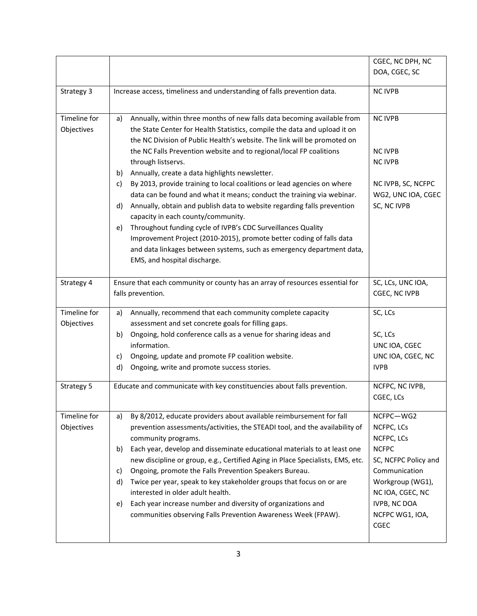|                            |                                                                                                                                                                                                                                                                                                                                                                                                                                                                                                                                                                                                                                                                                                                                                                                                                                                                                                                                      | CGEC, NC DPH, NC<br>DOA, CGEC, SC                                                                                                                                                               |
|----------------------------|--------------------------------------------------------------------------------------------------------------------------------------------------------------------------------------------------------------------------------------------------------------------------------------------------------------------------------------------------------------------------------------------------------------------------------------------------------------------------------------------------------------------------------------------------------------------------------------------------------------------------------------------------------------------------------------------------------------------------------------------------------------------------------------------------------------------------------------------------------------------------------------------------------------------------------------|-------------------------------------------------------------------------------------------------------------------------------------------------------------------------------------------------|
| Strategy 3                 | Increase access, timeliness and understanding of falls prevention data.                                                                                                                                                                                                                                                                                                                                                                                                                                                                                                                                                                                                                                                                                                                                                                                                                                                              | <b>NC IVPB</b>                                                                                                                                                                                  |
| Timeline for<br>Objectives | Annually, within three months of new falls data becoming available from<br>a)<br>the State Center for Health Statistics, compile the data and upload it on<br>the NC Division of Public Health's website. The link will be promoted on<br>the NC Falls Prevention website and to regional/local FP coalitions<br>through listservs.<br>Annually, create a data highlights newsletter.<br>b)<br>By 2013, provide training to local coalitions or lead agencies on where<br>c)<br>data can be found and what it means; conduct the training via webinar.<br>Annually, obtain and publish data to website regarding falls prevention<br>d)<br>capacity in each county/community.<br>Throughout funding cycle of IVPB's CDC Surveillances Quality<br>e)<br>Improvement Project (2010-2015), promote better coding of falls data<br>and data linkages between systems, such as emergency department data,<br>EMS, and hospital discharge. | <b>NC IVPB</b><br><b>NC IVPB</b><br><b>NC IVPB</b><br>NC IVPB, SC, NCFPC<br>WG2, UNC IOA, CGEC<br>SC, NC IVPB                                                                                   |
| Strategy 4                 | Ensure that each community or county has an array of resources essential for<br>falls prevention.                                                                                                                                                                                                                                                                                                                                                                                                                                                                                                                                                                                                                                                                                                                                                                                                                                    | SC, LCs, UNC IOA,<br>CGEC, NC IVPB                                                                                                                                                              |
| Timeline for<br>Objectives | Annually, recommend that each community complete capacity<br>a)<br>assessment and set concrete goals for filling gaps.<br>Ongoing, hold conference calls as a venue for sharing ideas and<br>b)<br>information.<br>Ongoing, update and promote FP coalition website.<br>c)<br>d)<br>Ongoing, write and promote success stories.                                                                                                                                                                                                                                                                                                                                                                                                                                                                                                                                                                                                      | SC, LCs<br>SC, LCs<br>UNC IOA, CGEC<br>UNC IOA, CGEC, NC<br><b>IVPB</b>                                                                                                                         |
| Strategy 5                 | Educate and communicate with key constituencies about falls prevention.                                                                                                                                                                                                                                                                                                                                                                                                                                                                                                                                                                                                                                                                                                                                                                                                                                                              | NCFPC, NC IVPB,<br>CGEC, LCs                                                                                                                                                                    |
| Timeline for<br>Objectives | By 8/2012, educate providers about available reimbursement for fall<br>a)<br>prevention assessments/activities, the STEADI tool, and the availability of<br>community programs.<br>Each year, develop and disseminate educational materials to at least one<br>b)<br>new discipline or group, e.g., Certified Aging in Place Specialists, EMS, etc.<br>Ongoing, promote the Falls Prevention Speakers Bureau.<br>c)<br>Twice per year, speak to key stakeholder groups that focus on or are<br>d)<br>interested in older adult health.<br>Each year increase number and diversity of organizations and<br>e)<br>communities observing Falls Prevention Awareness Week (FPAW).                                                                                                                                                                                                                                                        | NCFPC-WG2<br>NCFPC, LCs<br>NCFPC, LCs<br><b>NCFPC</b><br>SC, NCFPC Policy and<br>Communication<br>Workgroup (WG1),<br>NC IOA, CGEC, NC<br><b>IVPB, NC DOA</b><br>NCFPC WG1, IOA,<br><b>CGEC</b> |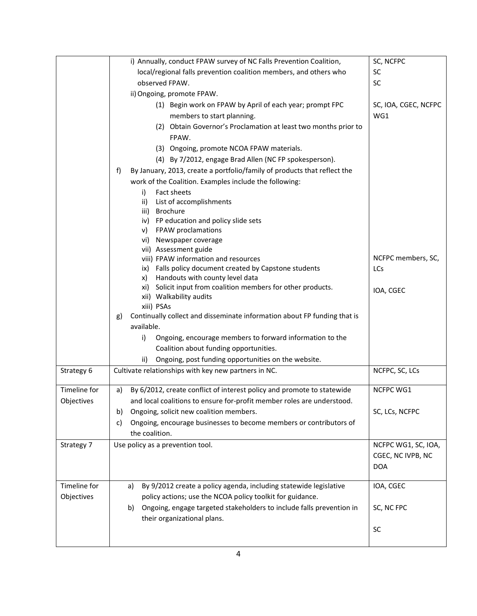|              | i) Annually, conduct FPAW survey of NC Falls Prevention Coalition,             | SC, NCFPC            |
|--------------|--------------------------------------------------------------------------------|----------------------|
|              | local/regional falls prevention coalition members, and others who              | <b>SC</b>            |
|              | observed FPAW.                                                                 | <b>SC</b>            |
|              | ii) Ongoing, promote FPAW.                                                     |                      |
|              | (1) Begin work on FPAW by April of each year; prompt FPC                       | SC, IOA, CGEC, NCFPC |
|              | members to start planning.                                                     | WG1                  |
|              | (2) Obtain Governor's Proclamation at least two months prior to                |                      |
|              | FPAW.                                                                          |                      |
|              | (3) Ongoing, promote NCOA FPAW materials.                                      |                      |
|              | (4) By 7/2012, engage Brad Allen (NC FP spokesperson).                         |                      |
|              | By January, 2013, create a portfolio/family of products that reflect the<br>f) |                      |
|              | work of the Coalition. Examples include the following:                         |                      |
|              | Fact sheets<br>i)                                                              |                      |
|              | List of accomplishments<br>ii)                                                 |                      |
|              | <b>Brochure</b><br>iii)                                                        |                      |
|              | iv) FP education and policy slide sets                                         |                      |
|              | FPAW proclamations<br>V)                                                       |                      |
|              | vi) Newspaper coverage                                                         |                      |
|              | vii) Assessment guide<br>viii) FPAW information and resources                  | NCFPC members, SC,   |
|              | Falls policy document created by Capstone students<br>ix)                      | <b>LCs</b>           |
|              | Handouts with county level data<br>x)                                          |                      |
|              | Solicit input from coalition members for other products.<br>xi)                | IOA, CGEC            |
|              | xii) Walkability audits                                                        |                      |
|              | xiii) PSAs                                                                     |                      |
|              | Continually collect and disseminate information about FP funding that is<br>g) |                      |
|              | available.                                                                     |                      |
|              | Ongoing, encourage members to forward information to the<br>i)                 |                      |
|              | Coalition about funding opportunities.                                         |                      |
|              | Ongoing, post funding opportunities on the website.<br>ii)                     |                      |
| Strategy 6   | Cultivate relationships with key new partners in NC.                           | NCFPC, SC, LCs       |
|              |                                                                                |                      |
| Timeline for | By 6/2012, create conflict of interest policy and promote to statewide<br>a)   | NCFPC WG1            |
| Objectives   | and local coalitions to ensure for-profit member roles are understood.         |                      |
|              | Ongoing, solicit new coalition members.<br>b)                                  | SC, LCs, NCFPC       |
|              | Ongoing, encourage businesses to become members or contributors of<br>c)       |                      |
|              | the coalition.                                                                 |                      |
| Strategy 7   | Use policy as a prevention tool.                                               | NCFPC WG1, SC, IOA,  |
|              |                                                                                | CGEC, NC IVPB, NC    |
|              |                                                                                | <b>DOA</b>           |
|              |                                                                                |                      |
| Timeline for | By 9/2012 create a policy agenda, including statewide legislative<br>a)        | IOA, CGEC            |
| Objectives   | policy actions; use the NCOA policy toolkit for guidance.                      |                      |
|              | Ongoing, engage targeted stakeholders to include falls prevention in<br>b)     | SC, NC FPC           |
|              | their organizational plans.                                                    |                      |
|              |                                                                                | SC                   |
|              |                                                                                |                      |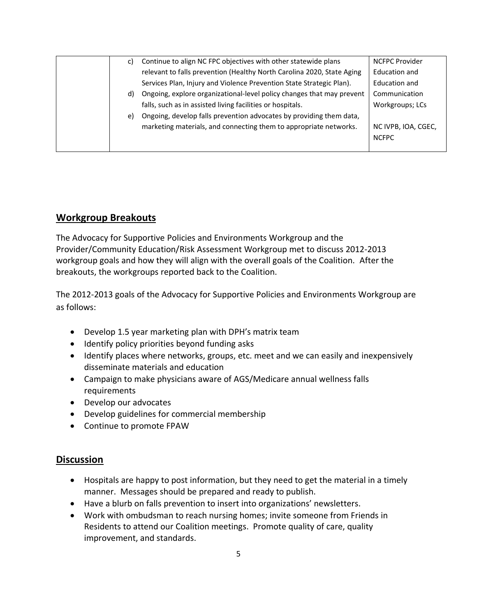| C) | Continue to align NC FPC objectives with other statewide plans         | <b>NCFPC Provider</b> |
|----|------------------------------------------------------------------------|-----------------------|
|    | relevant to falls prevention (Healthy North Carolina 2020, State Aging | Education and         |
|    | Services Plan, Injury and Violence Prevention State Strategic Plan).   | Education and         |
| d) | Ongoing, explore organizational-level policy changes that may prevent  | Communication         |
|    | falls, such as in assisted living facilities or hospitals.             | Workgroups; LCs       |
| e) | Ongoing, develop falls prevention advocates by providing them data,    |                       |
|    | marketing materials, and connecting them to appropriate networks.      | NC IVPB, IOA, CGEC,   |
|    |                                                                        | <b>NCFPC</b>          |
|    |                                                                        |                       |

### **Workgroup Breakouts**

The Advocacy for Supportive Policies and Environments Workgroup and the Provider/Community Education/Risk Assessment Workgroup met to discuss 2012-2013 workgroup goals and how they will align with the overall goals of the Coalition. After the breakouts, the workgroups reported back to the Coalition.

The 2012-2013 goals of the Advocacy for Supportive Policies and Environments Workgroup are as follows:

- Develop 1.5 year marketing plan with DPH's matrix team
- Identify policy priorities beyond funding asks
- Identify places where networks, groups, etc. meet and we can easily and inexpensively disseminate materials and education
- Campaign to make physicians aware of AGS/Medicare annual wellness falls requirements
- Develop our advocates
- Develop guidelines for commercial membership
- Continue to promote FPAW

### **Discussion**

- Hospitals are happy to post information, but they need to get the material in a timely manner. Messages should be prepared and ready to publish.
- Have a blurb on falls prevention to insert into organizations' newsletters.
- Work with ombudsman to reach nursing homes; invite someone from Friends in Residents to attend our Coalition meetings. Promote quality of care, quality improvement, and standards.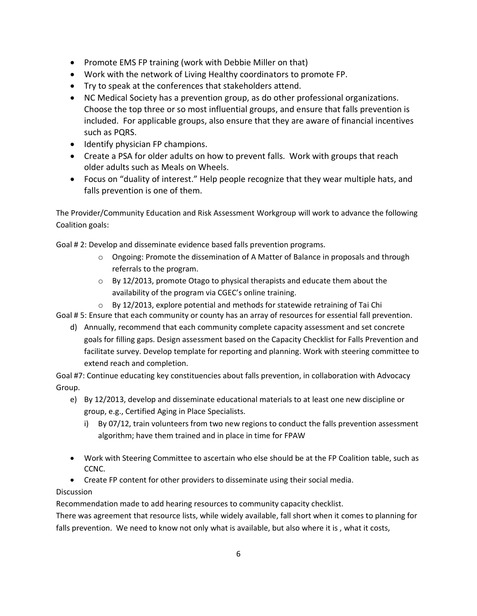- Promote EMS FP training (work with Debbie Miller on that)
- Work with the network of Living Healthy coordinators to promote FP.
- Try to speak at the conferences that stakeholders attend.
- NC Medical Society has a prevention group, as do other professional organizations. Choose the top three or so most influential groups, and ensure that falls prevention is included. For applicable groups, also ensure that they are aware of financial incentives such as PQRS.
- Identify physician FP champions.
- Create a PSA for older adults on how to prevent falls. Work with groups that reach older adults such as Meals on Wheels.
- Focus on "duality of interest." Help people recognize that they wear multiple hats, and falls prevention is one of them.

The Provider/Community Education and Risk Assessment Workgroup will work to advance the following Coalition goals:

Goal # 2: Develop and disseminate evidence based falls prevention programs.

- o Ongoing: Promote the dissemination of A Matter of Balance in proposals and through referrals to the program.
- $\circ$  By 12/2013, promote Otago to physical therapists and educate them about the availability of the program via CGEC's online training.
- $\circ$  By 12/2013, explore potential and methods for statewide retraining of Tai Chi

Goal # 5: Ensure that each community or county has an array of resources for essential fall prevention.

d) Annually, recommend that each community complete capacity assessment and set concrete goals for filling gaps. Design assessment based on the Capacity Checklist for Falls Prevention and facilitate survey. Develop template for reporting and planning. Work with steering committee to extend reach and completion.

Goal #7: Continue educating key constituencies about falls prevention, in collaboration with Advocacy Group.

- e) By 12/2013, develop and disseminate educational materials to at least one new discipline or group, e.g., Certified Aging in Place Specialists.
	- i) By 07/12, train volunteers from two new regions to conduct the falls prevention assessment algorithm; have them trained and in place in time for FPAW
- Work with Steering Committee to ascertain who else should be at the FP Coalition table, such as CCNC.
- Create FP content for other providers to disseminate using their social media.

#### Discussion

Recommendation made to add hearing resources to community capacity checklist.

There was agreement that resource lists, while widely available, fall short when it comes to planning for falls prevention. We need to know not only what is available, but also where it is, what it costs,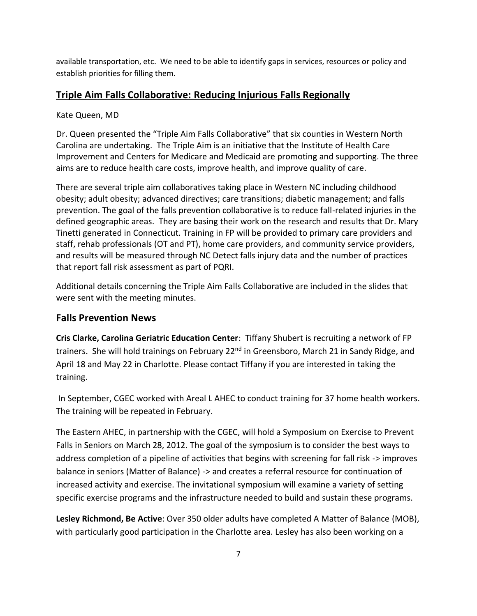available transportation, etc. We need to be able to identify gaps in services, resources or policy and establish priorities for filling them.

### **Triple Aim Falls Collaborative: Reducing Injurious Falls Regionally**

#### Kate Queen, MD

Dr. Queen presented the "Triple Aim Falls Collaborative" that six counties in Western North Carolina are undertaking. The Triple Aim is an initiative that the Institute of Health Care Improvement and Centers for Medicare and Medicaid are promoting and supporting. The three aims are to reduce health care costs, improve health, and improve quality of care.

There are several triple aim collaboratives taking place in Western NC including childhood obesity; adult obesity; advanced directives; care transitions; diabetic management; and falls prevention. The goal of the falls prevention collaborative is to reduce fall-related injuries in the defined geographic areas. They are basing their work on the research and results that Dr. Mary Tinetti generated in Connecticut. Training in FP will be provided to primary care providers and staff, rehab professionals (OT and PT), home care providers, and community service providers, and results will be measured through NC Detect falls injury data and the number of practices that report fall risk assessment as part of PQRI.

Additional details concerning the Triple Aim Falls Collaborative are included in the slides that were sent with the meeting minutes.

### **Falls Prevention News**

**Cris Clarke, Carolina Geriatric Education Center**: Tiffany Shubert is recruiting a network of FP trainers. She will hold trainings on February 22<sup>nd</sup> in Greensboro, March 21 in Sandy Ridge, and April 18 and May 22 in Charlotte. Please contact Tiffany if you are interested in taking the training.

In September, CGEC worked with Areal L AHEC to conduct training for 37 home health workers. The training will be repeated in February.

The Eastern AHEC, in partnership with the CGEC, will hold a Symposium on Exercise to Prevent Falls in Seniors on March 28, 2012. The goal of the symposium is to consider the best ways to address completion of a pipeline of activities that begins with screening for fall risk -> improves balance in seniors (Matter of Balance) -> and creates a referral resource for continuation of increased activity and exercise. The invitational symposium will examine a variety of setting specific exercise programs and the infrastructure needed to build and sustain these programs.

**Lesley Richmond, Be Active**: Over 350 older adults have completed A Matter of Balance (MOB), with particularly good participation in the Charlotte area. Lesley has also been working on a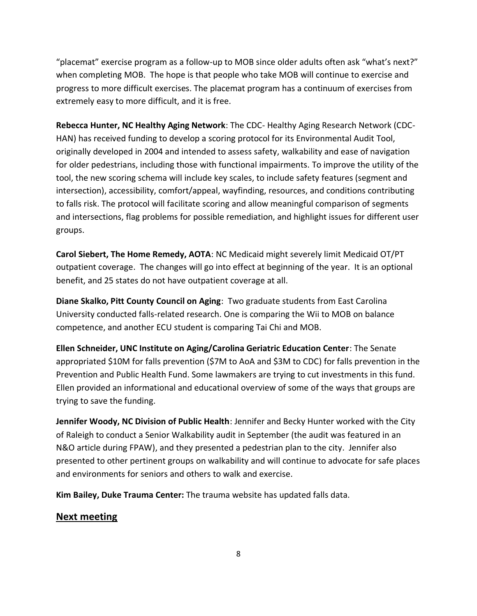"placemat" exercise program as a follow-up to MOB since older adults often ask "what's next?" when completing MOB. The hope is that people who take MOB will continue to exercise and progress to more difficult exercises. The placemat program has a continuum of exercises from extremely easy to more difficult, and it is free.

**Rebecca Hunter, NC Healthy Aging Network**: The CDC- Healthy Aging Research Network (CDC-HAN) has received funding to develop a scoring protocol for its Environmental Audit Tool, originally developed in 2004 and intended to assess safety, walkability and ease of navigation for older pedestrians, including those with functional impairments. To improve the utility of the tool, the new scoring schema will include key scales, to include safety features (segment and intersection), accessibility, comfort/appeal, wayfinding, resources, and conditions contributing to falls risk. The protocol will facilitate scoring and allow meaningful comparison of segments and intersections, flag problems for possible remediation, and highlight issues for different user groups.

**Carol Siebert, The Home Remedy, AOTA**: NC Medicaid might severely limit Medicaid OT/PT outpatient coverage. The changes will go into effect at beginning of the year. It is an optional benefit, and 25 states do not have outpatient coverage at all.

**Diane Skalko, Pitt County Council on Aging**: Two graduate students from East Carolina University conducted falls-related research. One is comparing the Wii to MOB on balance competence, and another ECU student is comparing Tai Chi and MOB.

**Ellen Schneider, UNC Institute on Aging/Carolina Geriatric Education Center**: The Senate appropriated \$10M for falls prevention (\$7M to AoA and \$3M to CDC) for falls prevention in the Prevention and Public Health Fund. Some lawmakers are trying to cut investments in this fund. Ellen provided an informational and educational overview of some of the ways that groups are trying to save the funding.

**Jennifer Woody, NC Division of Public Health**: Jennifer and Becky Hunter worked with the City of Raleigh to conduct a Senior Walkability audit in September (the audit was featured in an N&O article during FPAW), and they presented a pedestrian plan to the city. Jennifer also presented to other pertinent groups on walkability and will continue to advocate for safe places and environments for seniors and others to walk and exercise.

**Kim Bailey, Duke Trauma Center:** The trauma website has updated falls data.

#### **Next meeting**